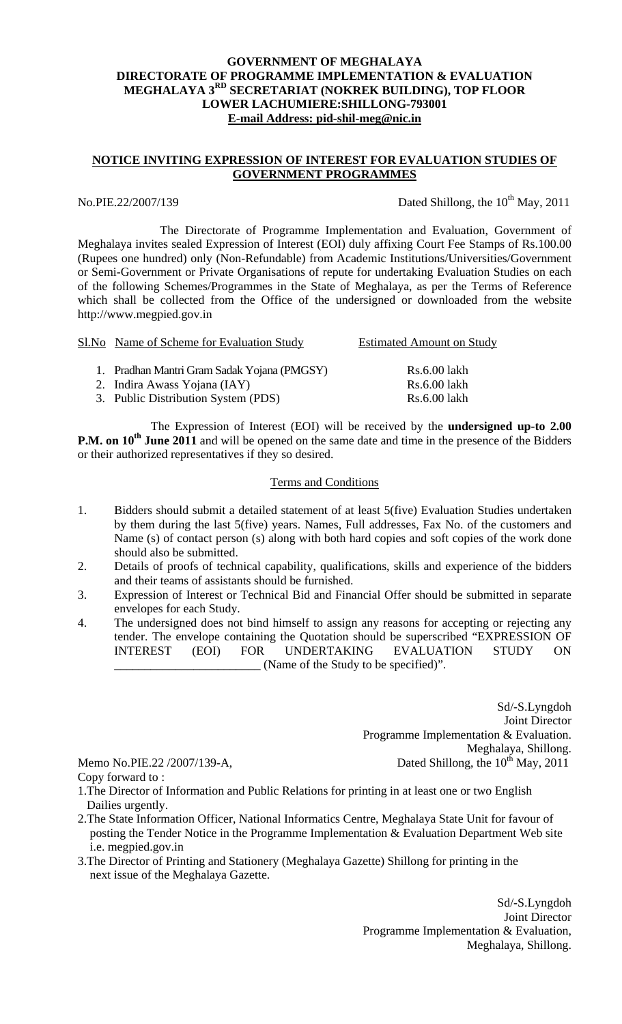### **GOVERNMENT OF MEGHALAYA DIRECTORATE OF PROGRAMME IMPLEMENTATION & EVALUATION MEGHALAYA 3RD SECRETARIAT (NOKREK BUILDING), TOP FLOOR LOWER LACHUMIERE:SHILLONG-793001 E-mail Address: pid-shil-meg@nic.in**

## **NOTICE INVITING EXPRESSION OF INTEREST FOR EVALUATION STUDIES OF GOVERNMENT PROGRAMMES**

No.PIE.22/2007/139 Dated Shillong, the  $10^{th}$  May, 2011

The Directorate of Programme Implementation and Evaluation, Government of Meghalaya invites sealed Expression of Interest (EOI) duly affixing Court Fee Stamps of Rs.100.00 (Rupees one hundred) only (Non-Refundable) from Academic Institutions/Universities/Government or Semi-Government or Private Organisations of repute for undertaking Evaluation Studies on each of the following Schemes/Programmes in the State of Meghalaya, as per the Terms of Reference which shall be collected from the Office of the undersigned or downloaded from the website http://www.megpied.gov.in

| Sl. No Name of Scheme for Evaluation Study  | <b>Estimated Amount on Study</b> |
|---------------------------------------------|----------------------------------|
| 1. Pradhan Mantri Gram Sadak Yojana (PMGSY) | Rs.6.00 lakh                     |
| 2. Indira Awass Yojana (IAY)                | Rs.6.00 lakh                     |
| 3. Public Distribution System (PDS)         | Rs.6.00 lakh                     |

 The Expression of Interest (EOI) will be received by the **undersigned up-to 2.00 P.M. on 10<sup>th</sup> June 2011** and will be opened on the same date and time in the presence of the Bidders or their authorized representatives if they so desired.

#### Terms and Conditions

- 1. Bidders should submit a detailed statement of at least 5(five) Evaluation Studies undertaken by them during the last 5(five) years. Names, Full addresses, Fax No. of the customers and Name (s) of contact person (s) along with both hard copies and soft copies of the work done should also be submitted.
- 2. Details of proofs of technical capability, qualifications, skills and experience of the bidders and their teams of assistants should be furnished.
- 3. Expression of Interest or Technical Bid and Financial Offer should be submitted in separate envelopes for each Study.
- 4. The undersigned does not bind himself to assign any reasons for accepting or rejecting any tender. The envelope containing the Quotation should be superscribed "EXPRESSION OF INTEREST (EOI) FOR UNDERTAKING EVALUATION STUDY ON \_\_\_\_\_\_\_\_\_\_\_\_\_\_\_\_\_\_\_\_\_\_\_\_ (Name of the Study to be specified)".

Sd/-S.Lyngdoh Joint Director Programme Implementation & Evaluation. Meghalaya, Shillong. Memo No.PIE.22 /2007/139-A, Dated Shillong, the  $10^{th}$  May, 2011

Copy forward to :

- 1.The Director of Information and Public Relations for printing in at least one or two English Dailies urgently.
- 2.The State Information Officer, National Informatics Centre, Meghalaya State Unit for favour of posting the Tender Notice in the Programme Implementation & Evaluation Department Web site i.e. megpied.gov.in
- 3.The Director of Printing and Stationery (Meghalaya Gazette) Shillong for printing in the next issue of the Meghalaya Gazette.

Sd/-S.Lyngdoh Joint Director Programme Implementation & Evaluation, Meghalaya, Shillong.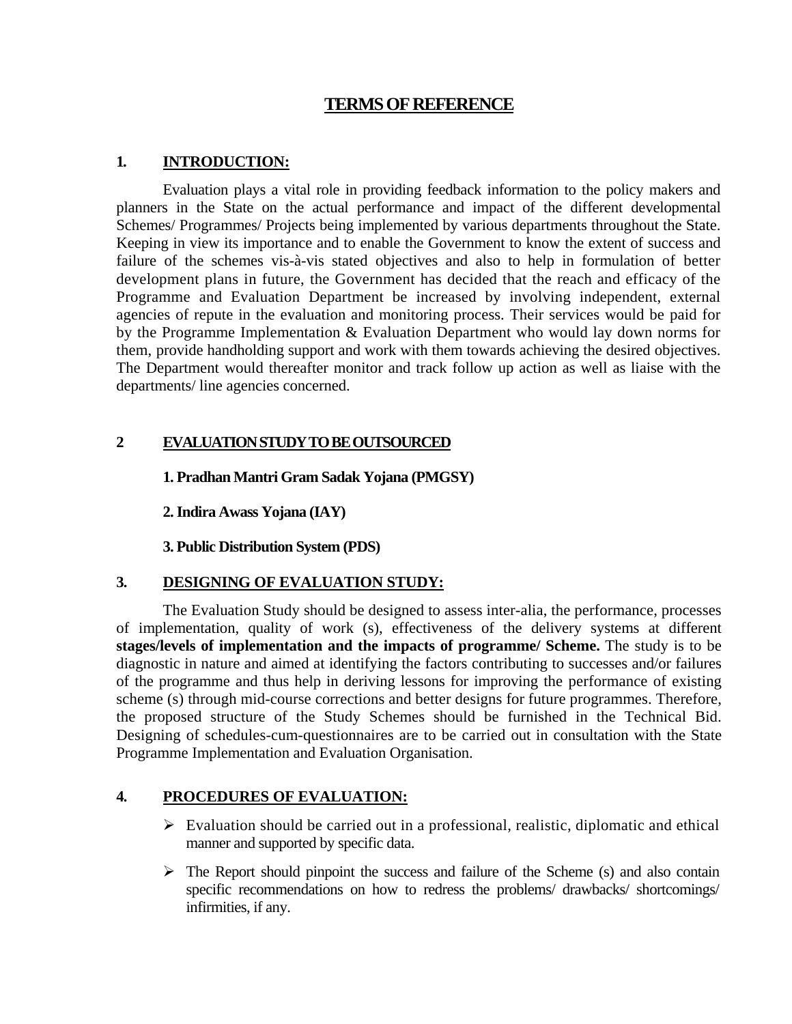# **TERMS OF REFERENCE**

### **1. INTRODUCTION:**

 Evaluation plays a vital role in providing feedback information to the policy makers and planners in the State on the actual performance and impact of the different developmental Schemes/ Programmes/ Projects being implemented by various departments throughout the State. Keeping in view its importance and to enable the Government to know the extent of success and failure of the schemes vis-à-vis stated objectives and also to help in formulation of better development plans in future, the Government has decided that the reach and efficacy of the Programme and Evaluation Department be increased by involving independent, external agencies of repute in the evaluation and monitoring process. Their services would be paid for by the Programme Implementation & Evaluation Department who would lay down norms for them, provide handholding support and work with them towards achieving the desired objectives. The Department would thereafter monitor and track follow up action as well as liaise with the departments/ line agencies concerned.

### **2 EVALUATION STUDY TO BE OUTSOURCED**

 **1. Pradhan Mantri Gram Sadak Yojana (PMGSY)** 

 **2. Indira Awass Yojana (IAY)** 

 **3. Public Distribution System (PDS)** 

# **3. DESIGNING OF EVALUATION STUDY:**

 The Evaluation Study should be designed to assess inter-alia, the performance, processes of implementation, quality of work (s), effectiveness of the delivery systems at different **stages/levels of implementation and the impacts of programme/ Scheme.** The study is to be diagnostic in nature and aimed at identifying the factors contributing to successes and/or failures of the programme and thus help in deriving lessons for improving the performance of existing scheme (s) through mid-course corrections and better designs for future programmes. Therefore, the proposed structure of the Study Schemes should be furnished in the Technical Bid. Designing of schedules-cum-questionnaires are to be carried out in consultation with the State Programme Implementation and Evaluation Organisation.

# **4. PROCEDURES OF EVALUATION:**

- $\triangleright$  Evaluation should be carried out in a professional, realistic, diplomatic and ethical manner and supported by specific data.
- $\triangleright$  The Report should pinpoint the success and failure of the Scheme (s) and also contain specific recommendations on how to redress the problems/ drawbacks/ shortcomings/ infirmities, if any.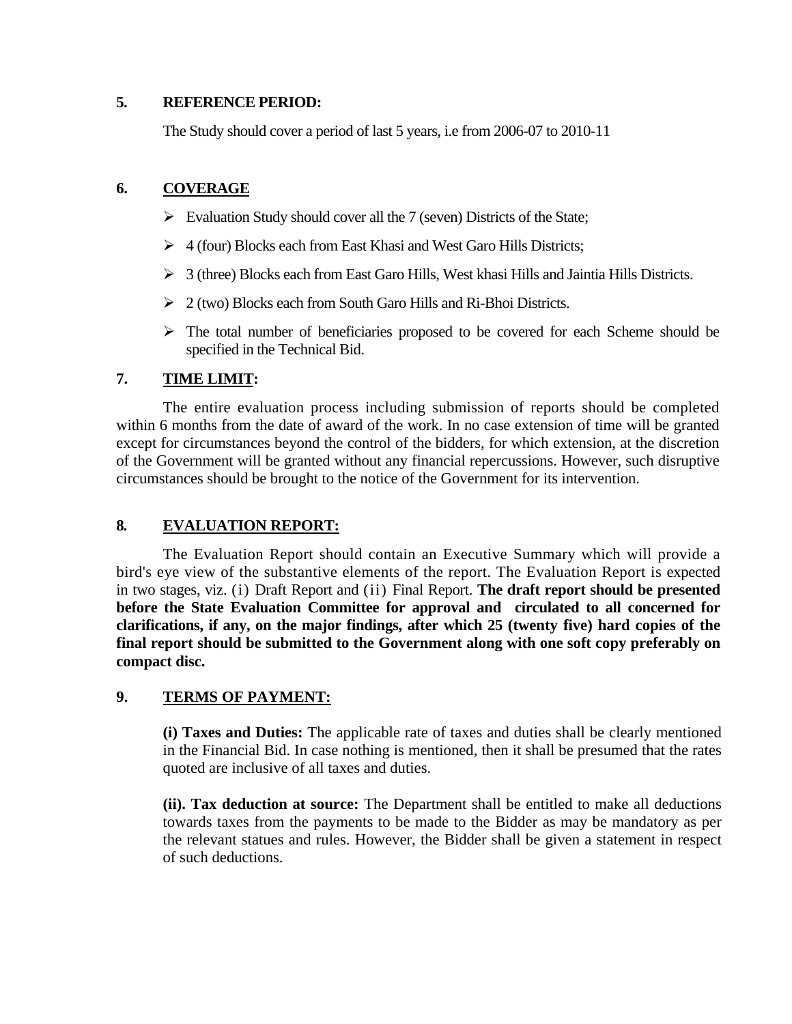#### **5. REFERENCE PERIOD:**

The Study should cover a period of last 5 years, i.e from 2006-07 to 2010-11

## **6. COVERAGE**

- $\triangleright$  Evaluation Study should cover all the 7 (seven) Districts of the State;
- $\triangleright$  4 (four) Blocks each from East Khasi and West Garo Hills Districts;
- $\triangleright$  3 (three) Blocks each from East Garo Hills, West khasi Hills and Jaintia Hills Districts.
- $\geq 2$  (two) Blocks each from South Garo Hills and Ri-Bhoi Districts.
- $\triangleright$  The total number of beneficiaries proposed to be covered for each Scheme should be specified in the Technical Bid.

## **7. TIME LIMIT:**

 The entire evaluation process including submission of reports should be completed within 6 months from the date of award of the work. In no case extension of time will be granted except for circumstances beyond the control of the bidders, for which extension, at the discretion of the Government will be granted without any financial repercussions. However, such disruptive circumstances should be brought to the notice of the Government for its intervention.

# **8. EVALUATION REPORT:**

 The Evaluation Report should contain an Executive Summary which will provide a bird's eye view of the substantive elements of the report. The Evaluation Report is expected in two stages, viz. (i) Draft Report and (ii) Final Report. **The draft report should be presented before the State Evaluation Committee for approval and circulated to all concerned for clarifications, if any, on the major findings, after which 25 (twenty five) hard copies of the final report should be submitted to the Government along with one soft copy preferably on compact disc.** 

# **9. TERMS OF PAYMENT:**

**(i) Taxes and Duties:** The applicable rate of taxes and duties shall be clearly mentioned in the Financial Bid. In case nothing is mentioned, then it shall be presumed that the rates quoted are inclusive of all taxes and duties.

**(ii). Tax deduction at source:** The Department shall be entitled to make all deductions towards taxes from the payments to be made to the Bidder as may be mandatory as per the relevant statues and rules. However, the Bidder shall be given a statement in respect of such deductions.